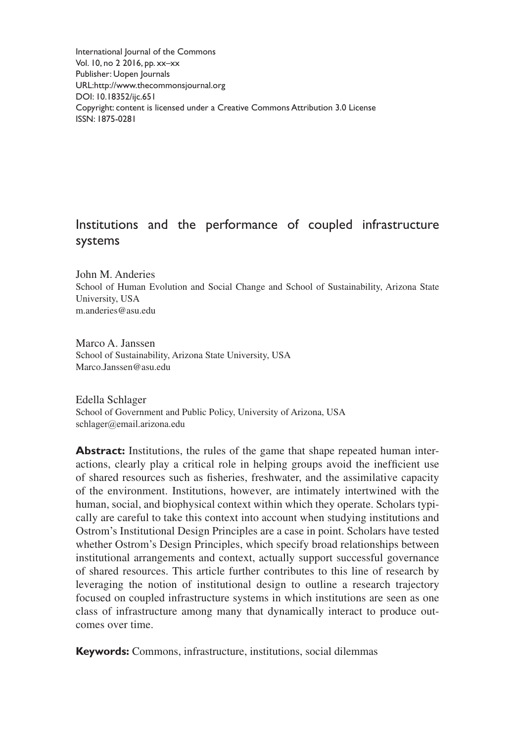International Journal of the Commons Vol. 10, no 2 2016, pp. xx–xx Publisher: Uopen Journals URL[:http://www.thecommonsjournal.org](http://www.thecommonsjournal.org) [DOI: 10.18352/ijc.651](http://doi.org/10.18352/ijc.651) Copyright: content is licensed under a Creative Commons Attribution 3.0 License ISSN: 1875-0281

# Institutions and the performance of coupled infrastructure systems

John M. Anderies School of Human Evolution and Social Change and School of Sustainability, Arizona State University, USA [m.anderies@asu.edu](mailto:m.anderies@asu.edu)

Marco A. Janssen School of Sustainability, Arizona State University, USA [Marco.Janssen@asu.edu](mailto:Marco.Janssen@asu.edu)

Edella Schlager School of Government and Public Policy, University of Arizona, USA [schlager@email.arizona.edu](mailto:schlager@email.arizona.edu)

**Abstract:** Institutions, the rules of the game that shape repeated human interactions, clearly play a critical role in helping groups avoid the inefficient use of shared resources such as fisheries, freshwater, and the assimilative capacity of the environment. Institutions, however, are intimately intertwined with the human, social, and biophysical context within which they operate. Scholars typically are careful to take this context into account when studying institutions and Ostrom's Institutional Design Principles are a case in point. Scholars have tested whether Ostrom's Design Principles, which specify broad relationships between institutional arrangements and context, actually support successful governance of shared resources. This article further contributes to this line of research by leveraging the notion of institutional design to outline a research trajectory focused on coupled infrastructure systems in which institutions are seen as one class of infrastructure among many that dynamically interact to produce outcomes over time.

**Keywords:** Commons, infrastructure, institutions, social dilemmas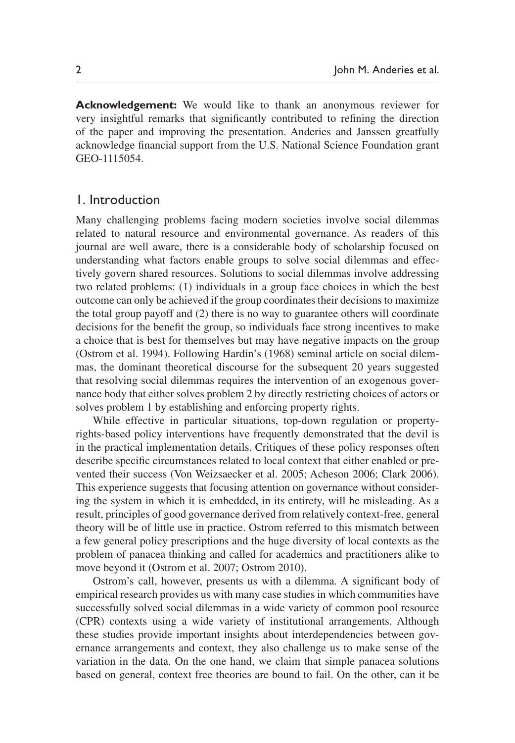**Acknowledgement:** We would like to thank an anonymous reviewer for very insightful remarks that significantly contributed to refining the direction of the paper and improving the presentation. Anderies and Janssen greatfully acknowledge financial support from the U.S. National Science Foundation grant GEO-1115054.

### 1. Introduction

Many challenging problems facing modern societies involve social dilemmas related to natural resource and environmental governance. As readers of this journal are well aware, there is a considerable body of scholarship focused on understanding what factors enable groups to solve social dilemmas and effectively govern shared resources. Solutions to social dilemmas involve addressing two related problems: (1) individuals in a group face choices in which the best outcome can only be achieved if the group coordinates their decisions to maximize the total group payoff and (2) there is no way to guarantee others will coordinate decisions for the benefit the group, so individuals face strong incentives to make a choice that is best for themselves but may have negative impacts on the group [\(Ostrom et](#page-20-0) al. 1994). Following [Hardin's \(1968\)](#page-20-1) seminal article on social dilemmas, the dominant theoretical discourse for the subsequent 20 years suggested that resolving social dilemmas requires the intervention of an exogenous governance body that either solves problem 2 by directly restricting choices of actors or solves problem 1 by establishing and enforcing property rights.

While effective in particular situations, top-down regulation or propertyrights-based policy interventions have frequently demonstrated that the devil is in the practical implementation details. Critiques of these policy responses often describe specific circumstances related to local context that either enabled or prevented their success [\(Von Weizsaecker et](#page-21-0) al. 2005; [Acheson 2006](#page-19-0); [Clark 2006\)](#page-19-1). This experience suggests that focusing attention on governance without considering the system in which it is embedded, in its entirety, will be misleading. As a result, principles of good governance derived from relatively context-free, general theory will be of little use in practice. Ostrom referred to this mismatch between a few general policy prescriptions and the huge diversity of local contexts as the problem of panacea thinking and called for academics and practitioners alike to move beyond it [\(Ostrom et](#page-20-2) al. 2007; [Ostrom 2010](#page-20-3)).

Ostrom's call, however, presents us with a dilemma. A significant body of empirical research provides us with many case studies in which communities have successfully solved social dilemmas in a wide variety of common pool resource (CPR) contexts using a wide variety of institutional arrangements. Although these studies provide important insights about interdependencies between governance arrangements and context, they also challenge us to make sense of the variation in the data. On the one hand, we claim that simple panacea solutions based on general, context free theories are bound to fail. On the other, can it be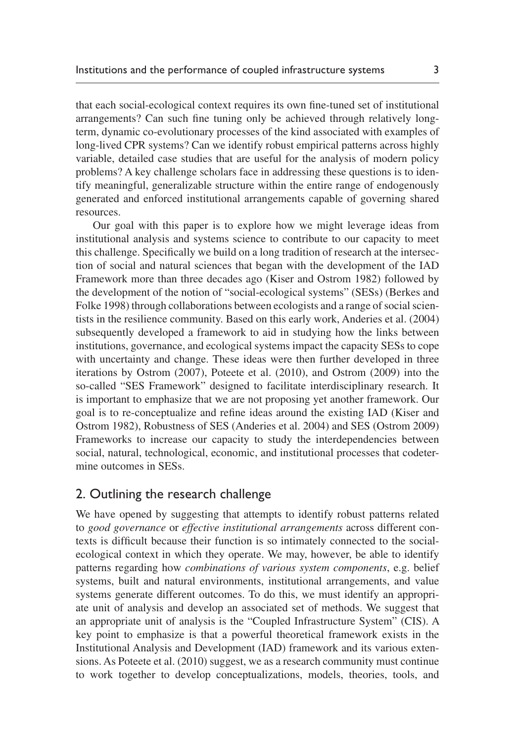that each social-ecological context requires its own fine-tuned set of institutional arrangements? Can such fine tuning only be achieved through relatively longterm, dynamic co-evolutionary processes of the kind associated with examples of long-lived CPR systems? Can we identify robust empirical patterns across highly variable, detailed case studies that are useful for the analysis of modern policy problems? A key challenge scholars face in addressing these questions is to identify meaningful, generalizable structure within the entire range of endogenously generated and enforced institutional arrangements capable of governing shared resources.

Our goal with this paper is to explore how we might leverage ideas from institutional analysis and systems science to contribute to our capacity to meet this challenge. Specifically we build on a long tradition of research at the intersection of social and natural sciences that began with the development of the IAD Framework more than three decades ago [\(Kiser and Ostrom 1982\)](#page-20-4) followed by the development of the notion of "social-ecological systems" (SESs) [\(Berkes and](#page-19-2) [Folke 1998\)](#page-19-2) through collaborations between ecologists and a range of social scientists in the resilience community. Based on this early work, [Anderies et](#page-19-3) al. (2004) subsequently developed a framework to aid in studying how the links between institutions, governance, and ecological systems impact the capacity SESs to cope with uncertainty and change. These ideas were then further developed in three iterations by [Ostrom \(2007\)](#page-20-2), Poteete et [al. \(2010\),](#page-21-1) and [Ostrom \(2009\)](#page-20-5) into the so-called "SES Framework" designed to facilitate interdisciplinary research. It is important to emphasize that we are not proposing yet another framework. Our goal is to re-conceptualize and refine ideas around the existing IAD ([Kiser and](#page-20-4) [Ostrom 1982\)](#page-20-4), Robustness of SES [\(Anderies et](#page-19-4) al. 2004) and SES [\(Ostrom 2009\)](#page-20-5) Frameworks to increase our capacity to study the interdependencies between social, natural, technological, economic, and institutional processes that codetermine outcomes in SESs.

## 2. Outlining the research challenge

We have opened by suggesting that attempts to identify robust patterns related to *good governance* or *effective institutional arrangements* across different contexts is difficult because their function is so intimately connected to the socialecological context in which they operate. We may, however, be able to identify patterns regarding how *combinations of various system components*, e.g. belief systems, built and natural environments, institutional arrangements, and value systems generate different outcomes. To do this, we must identify an appropriate unit of analysis and develop an associated set of methods. We suggest that an appropriate unit of analysis is the "Coupled Infrastructure System" (CIS). A key point to emphasize is that a powerful theoretical framework exists in the Institutional Analysis and Development (IAD) framework and its various extensions. As Poteete et [al. \(2010\)](#page-21-1) suggest, we as a research community must continue to work together to develop conceptualizations, models, theories, tools, and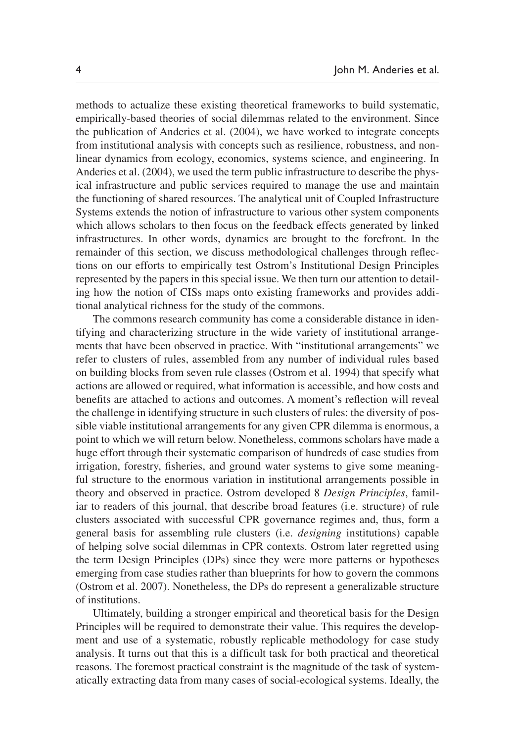methods to actualize these existing theoretical frameworks to build systematic, empirically-based theories of social dilemmas related to the environment. Since the publication of [Anderies et](#page-19-4) al. (2004), we have worked to integrate concepts from institutional analysis with concepts such as resilience, robustness, and nonlinear dynamics from ecology, economics, systems science, and engineering. In [Anderies et](#page-19-4) al. (2004), we used the term public infrastructure to describe the physical infrastructure and public services required to manage the use and maintain the functioning of shared resources. The analytical unit of Coupled Infrastructure Systems extends the notion of infrastructure to various other system components which allows scholars to then focus on the feedback effects generated by linked infrastructures. In other words, dynamics are brought to the forefront. In the remainder of this section, we discuss methodological challenges through reflections on our efforts to empirically test Ostrom's Institutional Design Principles represented by the papers in this special issue. We then turn our attention to detailing how the notion of CISs maps onto existing frameworks and provides additional analytical richness for the study of the commons.

The commons research community has come a considerable distance in identifying and characterizing structure in the wide variety of institutional arrangements that have been observed in practice. With "institutional arrangements" we refer to clusters of rules, assembled from any number of individual rules based on building blocks from seven rule classes [\(Ostrom et](#page-20-0) al. 1994) that specify what actions are allowed or required, what information is accessible, and how costs and benefits are attached to actions and outcomes. A moment's reflection will reveal the challenge in identifying structure in such clusters of rules: the diversity of possible viable institutional arrangements for any given CPR dilemma is enormous, a point to which we will return below. Nonetheless, commons scholars have made a huge effort through their systematic comparison of hundreds of case studies from irrigation, forestry, fisheries, and ground water systems to give some meaningful structure to the enormous variation in institutional arrangements possible in theory and observed in practice. Ostrom developed 8 *Design Principles*, familiar to readers of this journal, that describe broad features (i.e. structure) of rule clusters associated with successful CPR governance regimes and, thus, form a general basis for assembling rule clusters (i.e. *designing* institutions) capable of helping solve social dilemmas in CPR contexts. Ostrom later regretted using the term Design Principles (DPs) since they were more patterns or hypotheses emerging from case studies rather than blueprints for how to govern the commons [\(Ostrom et](#page-20-2) al. 2007). Nonetheless, the DPs do represent a generalizable structure of institutions.

Ultimately, building a stronger empirical and theoretical basis for the Design Principles will be required to demonstrate their value. This requires the development and use of a systematic, robustly replicable methodology for case study analysis. It turns out that this is a difficult task for both practical and theoretical reasons. The foremost practical constraint is the magnitude of the task of systematically extracting data from many cases of social-ecological systems. Ideally, the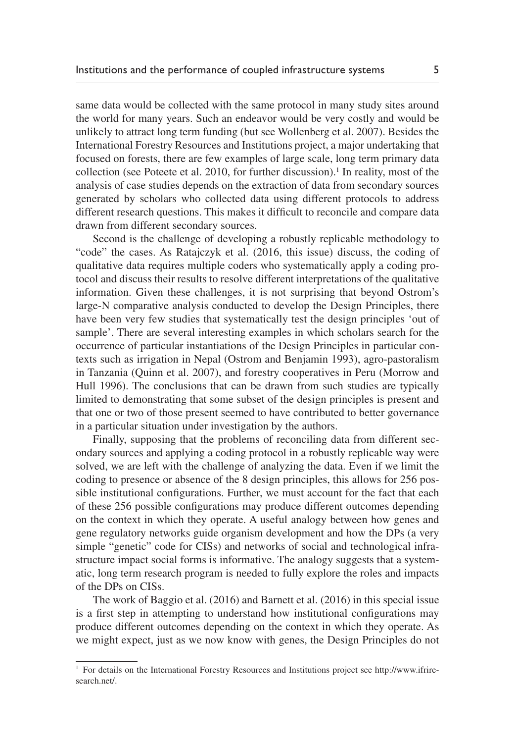same data would be collected with the same protocol in many study sites around the world for many years. Such an endeavor would be very costly and would be unlikely to attract long term funding (but see [Wollenberg et](#page-21-2) al. 2007). Besides the International Forestry Resources and Institutions project, a major undertaking that focused on forests, there are few examples of large scale, long term primary data collection (see [Poteete et](#page-21-1) al.  $2010$ , for further discussion).<sup>1</sup> In reality, most of the analysis of case studies depends on the extraction of data from secondary sources generated by scholars who collected data using different protocols to address different research questions. This makes it difficult to reconcile and compare data drawn from different secondary sources.

Second is the challenge of developing a robustly replicable methodology to "code" the cases. As Ratajczyk et al. (2016, this issue) discuss, the coding of qualitative data requires multiple coders who systematically apply a coding protocol and discuss their results to resolve different interpretations of the qualitative information. Given these challenges, it is not surprising that beyond Ostrom's large-N comparative analysis conducted to develop the Design Principles, there have been very few studies that systematically test the design principles 'out of sample'. There are several interesting examples in which scholars search for the occurrence of particular instantiations of the Design Principles in particular contexts such as irrigation in Nepal [\(Ostrom and Benjamin 1993](#page-20-6)), agro-pastoralism in Tanzania [\(Quinn et](#page-21-3) al. 2007), and forestry cooperatives in Peru [\(Morrow and](#page-20-7) [Hull 1996](#page-20-7)). The conclusions that can be drawn from such studies are typically limited to demonstrating that some subset of the design principles is present and that one or two of those present seemed to have contributed to better governance in a particular situation under investigation by the authors.

Finally, supposing that the problems of reconciling data from different secondary sources and applying a coding protocol in a robustly replicable way were solved, we are left with the challenge of analyzing the data. Even if we limit the coding to presence or absence of the 8 design principles, this allows for 256 possible institutional configurations. Further, we must account for the fact that each of these 256 possible configurations may produce different outcomes depending on the context in which they operate. A useful analogy between how genes and gene regulatory networks guide organism development and how the DPs (a very simple "genetic" code for CISs) and networks of social and technological infrastructure impact social forms is informative. The analogy suggests that a systematic, long term research program is needed to fully explore the roles and impacts of the DPs on CISs.

The work of Baggio et al. (2016) and Barnett et al. (2016) in this special issue is a first step in attempting to understand how institutional configurations may produce different outcomes depending on the context in which they operate. As we might expect, just as we now know with genes, the Design Principles do not

<sup>1</sup> For details on the International Forestry Resources and Institutions project see [http://www.ifrire](http://www.ifriresearch.net)[search.net](http://www.ifriresearch.net)/.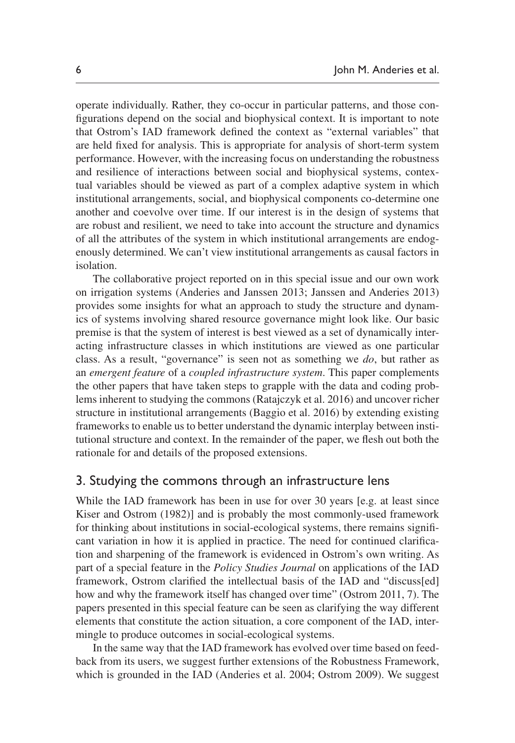operate individually. Rather, they co-occur in particular patterns, and those configurations depend on the social and biophysical context. It is important to note that Ostrom's IAD framework defined the context as "external variables" that are held fixed for analysis. This is appropriate for analysis of short-term system performance. However, with the increasing focus on understanding the robustness and resilience of interactions between social and biophysical systems, contextual variables should be viewed as part of a complex adaptive system in which institutional arrangements, social, and biophysical components co-determine one another and coevolve over time. If our interest is in the design of systems that are robust and resilient, we need to take into account the structure and dynamics of all the attributes of the system in which institutional arrangements are endogenously determined. We can't view institutional arrangements as causal factors in isolation.

The collaborative project reported on in this special issue and our own work on irrigation systems ([Anderies and Janssen 2013;](#page-19-3) [Janssen and Anderies 2013\)](#page-20-8) provides some insights for what an approach to study the structure and dynamics of systems involving shared resource governance might look like. Our basic premise is that the system of interest is best viewed as a set of dynamically interacting infrastructure classes in which institutions are viewed as one particular class. As a result, "governance" is seen not as something we *do*, but rather as an *emergent feature* of a *coupled infrastructure system*. This paper complements the other papers that have taken steps to grapple with the data and coding problems inherent to studying the commons (Ratajczyk et al. 2016) and uncover richer structure in institutional arrangements (Baggio et al. 2016) by extending existing frameworks to enable us to better understand the dynamic interplay between institutional structure and context. In the remainder of the paper, we flesh out both the rationale for and details of the proposed extensions.

## 3. Studying the commons through an infrastructure lens

While the IAD framework has been in use for over 30 years [e.g. at least since [Kiser and Ostrom \(1982\)](#page-20-4)] and is probably the most commonly-used framework for thinking about institutions in social-ecological systems, there remains significant variation in how it is applied in practice. The need for continued clarification and sharpening of the framework is evidenced in Ostrom's own writing. As part of a special feature in the *Policy Studies Journal* on applications of the IAD framework, Ostrom clarified the intellectual basis of the IAD and "discuss[ed] how and why the framework itself has changed over time" [\(Ostrom 2011,](#page-20-9) 7). The papers presented in this special feature can be seen as clarifying the way different elements that constitute the action situation, a core component of the IAD, intermingle to produce outcomes in social-ecological systems.

In the same way that the IAD framework has evolved over time based on feedback from its users, we suggest further extensions of the Robustness Framework, which is grounded in the IAD [\(Anderies et](#page-19-4) al. 2004; [Ostrom 2009](#page-20-5)). We suggest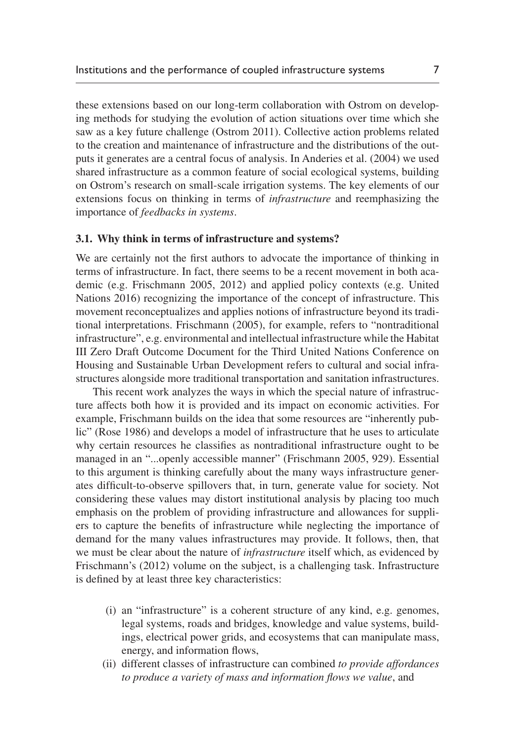these extensions based on our long-term collaboration with Ostrom on developing methods for studying the evolution of action situations over time which she saw as a key future challenge ([Ostrom 2011\)](#page-20-9). Collective action problems related to the creation and maintenance of infrastructure and the distributions of the outputs it generates are a central focus of analysis. In [Anderies et](#page-19-4) al. (2004) we used shared infrastructure as a common feature of social ecological systems, building on Ostrom's research on small-scale irrigation systems. The key elements of our extensions focus on thinking in terms of *infrastructure* and reemphasizing the importance of *feedbacks in systems*.

#### **3.1. Why think in terms of infrastructure and systems?**

We are certainly not the first authors to advocate the importance of thinking in terms of infrastructure. In fact, there seems to be a recent movement in both academic (e.g. [Frischmann 2005,](#page-20-10) [2012\)](#page-20-11) and applied policy contexts (e.g. [United](#page-21-4) [Nations 2016\)](#page-21-4) recognizing the importance of the concept of infrastructure. This movement reconceptualizes and applies notions of infrastructure beyond its traditional interpretations. [Frischmann \(2005\),](#page-20-10) for example, refers to "nontraditional infrastructure", e.g. environmental and intellectual infrastructure while the Habitat III Zero Draft Outcome Document for the Third United Nations Conference on Housing and Sustainable Urban Development refers to cultural and social infrastructures alongside more traditional transportation and sanitation infrastructures.

This recent work analyzes the ways in which the special nature of infrastructure affects both how it is provided and its impact on economic activities. For example, Frischmann builds on the idea that some resources are "inherently public" [\(Rose 1986](#page-21-5)) and develops a model of infrastructure that he uses to articulate why certain resources he classifies as nontraditional infrastructure ought to be managed in an "...openly accessible manner" ([Frischmann 2005](#page-20-10), 929). Essential to this argument is thinking carefully about the many ways infrastructure generates difficult-to-observe spillovers that, in turn, generate value for society. Not considering these values may distort institutional analysis by placing too much emphasis on the problem of providing infrastructure and allowances for suppliers to capture the benefits of infrastructure while neglecting the importance of demand for the many values infrastructures may provide. It follows, then, that we must be clear about the nature of *infrastructure* itself which, as evidenced by [Frischmann's \(2012\)](#page-20-11) volume on the subject, is a challenging task. Infrastructure is defined by at least three key characteristics:

- (i) an "infrastructure" is a coherent structure of any kind, e.g. genomes, legal systems, roads and bridges, knowledge and value systems, buildings, electrical power grids, and ecosystems that can manipulate mass, energy, and information flows,
- (ii) different classes of infrastructure can combined *to provide affordances to produce a variety of mass and information flows we value*, and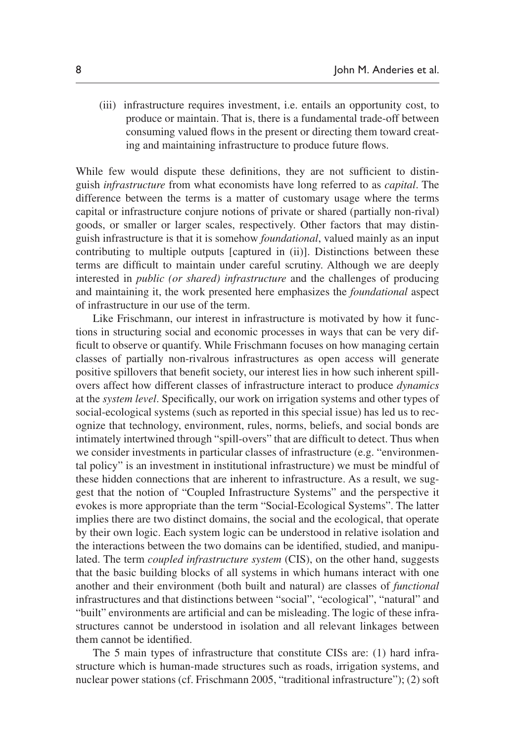(iii) infrastructure requires investment, i.e. entails an opportunity cost, to produce or maintain. That is, there is a fundamental trade-off between consuming valued flows in the present or directing them toward creating and maintaining infrastructure to produce future flows.

While few would dispute these definitions, they are not sufficient to distinguish *infrastructure* from what economists have long referred to as *capital*. The difference between the terms is a matter of customary usage where the terms capital or infrastructure conjure notions of private or shared (partially non-rival) goods, or smaller or larger scales, respectively. Other factors that may distinguish infrastructure is that it is somehow *foundational*, valued mainly as an input contributing to multiple outputs [captured in (ii)]. Distinctions between these terms are difficult to maintain under careful scrutiny. Although we are deeply interested in *public (or shared) infrastructure* and the challenges of producing and maintaining it, the work presented here emphasizes the *foundational* aspect of infrastructure in our use of the term.

Like Frischmann, our interest in infrastructure is motivated by how it functions in structuring social and economic processes in ways that can be very difficult to observe or quantify. While Frischmann focuses on how managing certain classes of partially non-rivalrous infrastructures as open access will generate positive spillovers that benefit society, our interest lies in how such inherent spillovers affect how different classes of infrastructure interact to produce *dynamics* at the *system level*. Specifically, our work on irrigation systems and other types of social-ecological systems (such as reported in this special issue) has led us to recognize that technology, environment, rules, norms, beliefs, and social bonds are intimately intertwined through "spill-overs" that are difficult to detect. Thus when we consider investments in particular classes of infrastructure (e.g. "environmental policy" is an investment in institutional infrastructure) we must be mindful of these hidden connections that are inherent to infrastructure. As a result, we suggest that the notion of "Coupled Infrastructure Systems" and the perspective it evokes is more appropriate than the term "Social-Ecological Systems". The latter implies there are two distinct domains, the social and the ecological, that operate by their own logic. Each system logic can be understood in relative isolation and the interactions between the two domains can be identified, studied, and manipulated. The term *coupled infrastructure system* (CIS), on the other hand, suggests that the basic building blocks of all systems in which humans interact with one another and their environment (both built and natural) are classes of *functional* infrastructures and that distinctions between "social", "ecological", "natural" and "built" environments are artificial and can be misleading. The logic of these infrastructures cannot be understood in isolation and all relevant linkages between them cannot be identified.

The 5 main types of infrastructure that constitute CISs are: (1) hard infrastructure which is human-made structures such as roads, irrigation systems, and nuclear power stations (cf. [Frischmann 2005](#page-20-10), "traditional infrastructure"); (2) soft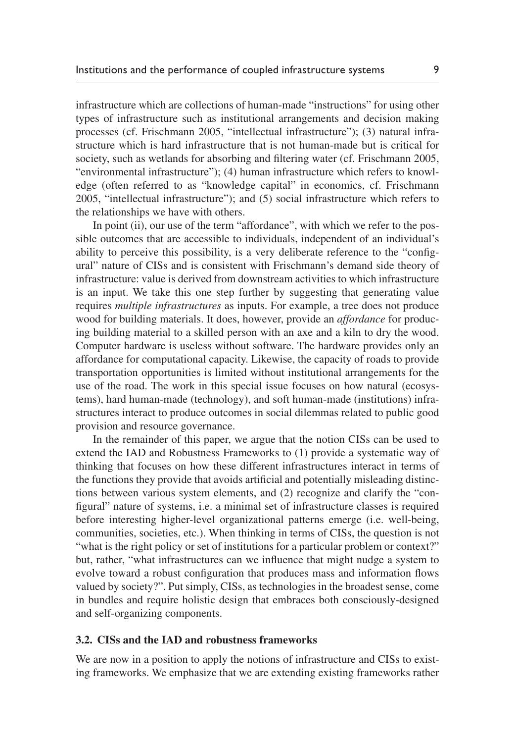infrastructure which are collections of human-made "instructions" for using other types of infrastructure such as institutional arrangements and decision making processes (cf. [Frischmann 2005,](#page-20-10) "intellectual infrastructure"); (3) natural infrastructure which is hard infrastructure that is not human-made but is critical for society, such as wetlands for absorbing and filtering water (cf. [Frischmann 2005](#page-20-10), "environmental infrastructure"); (4) human infrastructure which refers to knowledge (often referred to as "knowledge capital" in economics, cf. [Frischmann](#page-20-10) [2005,](#page-20-10) "intellectual infrastructure"); and (5) social infrastructure which refers to the relationships we have with others.

In point (ii), our use of the term "affordance", with which we refer to the possible outcomes that are accessible to individuals, independent of an individual's ability to perceive this possibility, is a very deliberate reference to the "configural" nature of CISs and is consistent with Frischmann's demand side theory of infrastructure: value is derived from downstream activities to which infrastructure is an input. We take this one step further by suggesting that generating value requires *multiple infrastructures* as inputs. For example, a tree does not produce wood for building materials. It does, however, provide an *affordance* for producing building material to a skilled person with an axe and a kiln to dry the wood. Computer hardware is useless without software. The hardware provides only an affordance for computational capacity. Likewise, the capacity of roads to provide transportation opportunities is limited without institutional arrangements for the use of the road. The work in this special issue focuses on how natural (ecosystems), hard human-made (technology), and soft human-made (institutions) infrastructures interact to produce outcomes in social dilemmas related to public good provision and resource governance.

In the remainder of this paper, we argue that the notion CISs can be used to extend the IAD and Robustness Frameworks to (1) provide a systematic way of thinking that focuses on how these different infrastructures interact in terms of the functions they provide that avoids artificial and potentially misleading distinctions between various system elements, and (2) recognize and clarify the "configural" nature of systems, i.e. a minimal set of infrastructure classes is required before interesting higher-level organizational patterns emerge (i.e. well-being, communities, societies, etc.). When thinking in terms of CISs, the question is not "what is the right policy or set of institutions for a particular problem or context?" but, rather, "what infrastructures can we influence that might nudge a system to evolve toward a robust configuration that produces mass and information flows valued by society?". Put simply, CISs, as technologies in the broadest sense, come in bundles and require holistic design that embraces both consciously-designed and self-organizing components.

#### **3.2. CISs and the IAD and robustness frameworks**

We are now in a position to apply the notions of infrastructure and CISs to existing frameworks. We emphasize that we are extending existing frameworks rather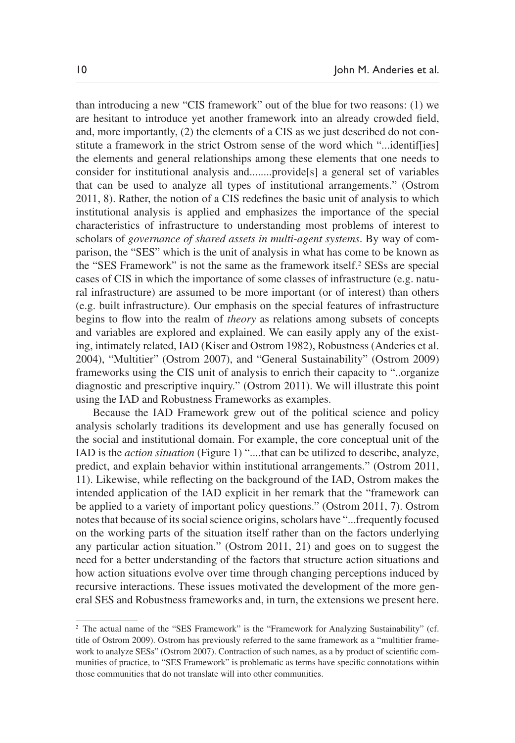than introducing a new "CIS framework" out of the blue for two reasons: (1) we are hesitant to introduce yet another framework into an already crowded field, and, more importantly, (2) the elements of a CIS as we just described do not constitute a framework in the strict Ostrom sense of the word which "...identif[ies] the elements and general relationships among these elements that one needs to consider for institutional analysis and........provide[s] a general set of variables that can be used to analyze all types of institutional arrangements." ([Ostrom](#page-20-9) [2011](#page-20-9), 8). Rather, the notion of a CIS redefines the basic unit of analysis to which institutional analysis is applied and emphasizes the importance of the special characteristics of infrastructure to understanding most problems of interest to scholars of *governance of shared assets in multi-agent systems*. By way of comparison, the "SES" which is the unit of analysis in what has come to be known as the "SES Framework" is not the same as the framework itself.2 SESs are special cases of CIS in which the importance of some classes of infrastructure (e.g. natural infrastructure) are assumed to be more important (or of interest) than others (e.g. built infrastructure). Our emphasis on the special features of infrastructure begins to flow into the realm of *theory* as relations among subsets of concepts and variables are explored and explained. We can easily apply any of the existing, intimately related, IAD ([Kiser and Ostrom 1982\)](#page-20-4), Robustness ([Anderies et](#page-19-4) al. [2004\)](#page-19-4), "Multitier" [\(Ostrom 2007\)](#page-20-2), and "General Sustainability" [\(Ostrom 2009\)](#page-20-5) frameworks using the CIS unit of analysis to enrich their capacity to "..organize diagnostic and prescriptive inquiry." [\(Ostrom 2011](#page-20-9)). We will illustrate this point using the IAD and Robustness Frameworks as examples.

Because the IAD Framework grew out of the political science and policy analysis scholarly traditions its development and use has generally focused on the social and institutional domain. For example, the core conceptual unit of the IAD is the *action situation* [\(Figure 1](#page-10-0)) "....that can be utilized to describe, analyze, predict, and explain behavior within institutional arrangements." ([Ostrom 2011](#page-20-9), 11). Likewise, while reflecting on the background of the IAD, Ostrom makes the intended application of the IAD explicit in her remark that the "framework can be applied to a variety of important policy questions." [\(Ostrom 2011,](#page-20-9) 7). Ostrom notes that because of its social science origins, scholars have "...frequently focused on the working parts of the situation itself rather than on the factors underlying any particular action situation." [\(Ostrom 2011](#page-20-9), 21) and goes on to suggest the need for a better understanding of the factors that structure action situations and how action situations evolve over time through changing perceptions induced by recursive interactions. These issues motivated the development of the more general SES and Robustness frameworks and, in turn, the extensions we present here.

<sup>&</sup>lt;sup>2</sup> The actual name of the "SES Framework" is the "Framework for Analyzing Sustainability" (cf. title of [Ostrom 2009\)](#page-20-5). Ostrom has previously referred to the same framework as a "multitier framework to analyze SESs" [\(Ostrom 2007\)](#page-20-2). Contraction of such names, as a by product of scientific communities of practice, to "SES Framework" is problematic as terms have specific connotations within those communities that do not translate will into other communities.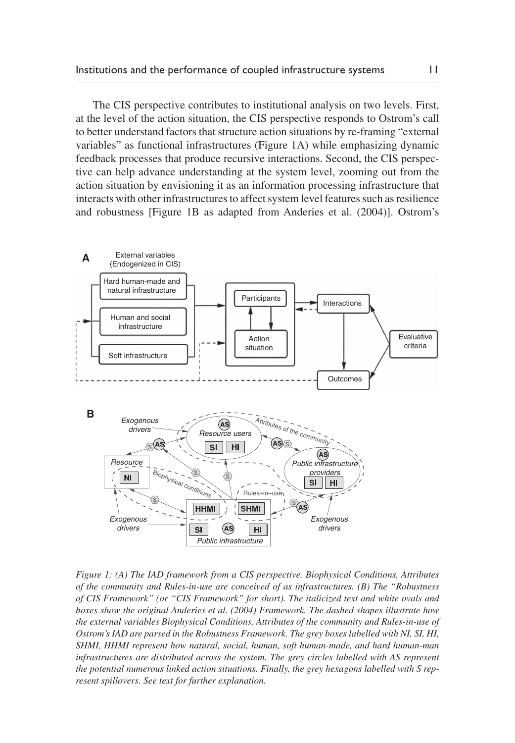The CIS perspective contributes to institutional analysis on two levels. First, at the level of the action situation, the CIS perspective responds to Ostrom's call to better understand factors that structure action situations by re-framing "external variables" as functional infrastructures ([Figure 1A](#page-10-0)) while emphasizing dynamic feedback processes that produce recursive interactions. Second, the CIS perspective can help advance understanding at the system level, zooming out from the action situation by envisioning it as an information processing infrastructure that interacts with other infrastructures to affect system level features such as resilience and robustness [[Figure 1B](#page-10-0) as adapted from [Anderies et](#page-19-4) al. (2004)]. Ostrom's



<span id="page-10-0"></span>*Figure 1: (A) The IAD framework from a CIS perspective. Biophysical Conditions, Attributes of the community and Rules-in-use are conceived of as infrastructures. (B) The "Robustness of CIS Framework" (or "CIS Framework" for short). The italicized text and white ovals and boxes show the original [Anderies et](#page-19-4) al. (2004) Framework. The dashed shapes illustrate how the external variables Biophysical Conditions, Attributes of the community and Rules-in-use of Ostrom's IAD are parsed in the Robustness Framework. The grey boxes labelled with NI, SI, HI, SHMI, HHMI represent how natural, social, human, soft human-made, and hard human-man infrastructures are distributed across the system. The grey circles labelled with AS represent the potential numerous linked action situations. Finally, the grey hexagons labelled with S represent spillovers. See text for further explanation.*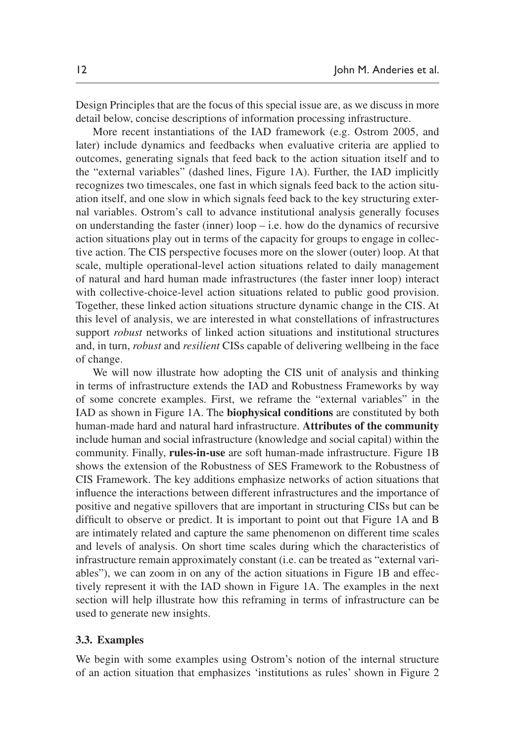Design Principles that are the focus of this special issue are, as we discuss in more detail below, concise descriptions of information processing infrastructure.

More recent instantiations of the IAD framework (e.g. [Ostrom 2005,](#page-20-12) and later) include dynamics and feedbacks when evaluative criteria are applied to outcomes, generating signals that feed back to the action situation itself and to the "external variables" (dashed lines, [Figure 1A\)](#page-10-0). Further, the IAD implicitly recognizes two timescales, one fast in which signals feed back to the action situation itself, and one slow in which signals feed back to the key structuring external variables. Ostrom's call to advance institutional analysis generally focuses on understanding the faster (inner) loop – i.e. how do the dynamics of recursive action situations play out in terms of the capacity for groups to engage in collective action. The CIS perspective focuses more on the slower (outer) loop. At that scale, multiple operational-level action situations related to daily management of natural and hard human made infrastructures (the faster inner loop) interact with collective-choice-level action situations related to public good provision. Together, these linked action situations structure dynamic change in the CIS. At this level of analysis, we are interested in what constellations of infrastructures support *robust* networks of linked action situations and institutional structures and, in turn, *robust* and *resilient* CISs capable of delivering wellbeing in the face of change.

We will now illustrate how adopting the CIS unit of analysis and thinking in terms of infrastructure extends the IAD and Robustness Frameworks by way of some concrete examples. First, we reframe the "external variables" in the IAD as shown in [Figure 1A](#page-10-0). The **biophysical conditions** are constituted by both human-made hard and natural hard infrastructure. **Attributes of the community** include human and social infrastructure (knowledge and social capital) within the community. Finally, **rules-in-use** are soft human-made infrastructure. [Figure 1B](#page-10-0) shows the extension of the Robustness of SES Framework to the Robustness of CIS Framework. The key additions emphasize networks of action situations that influence the interactions between different infrastructures and the importance of positive and negative spillovers that are important in structuring CISs but can be difficult to observe or predict. It is important to point out that [Figure 1A](#page-10-0) and [B](#page-10-0) are intimately related and capture the same phenomenon on different time scales and levels of analysis. On short time scales during which the characteristics of infrastructure remain approximately constant (i.e. can be treated as "external variables"), we can zoom in on any of the action situations in [Figure 1B](#page-10-0) and effectively represent it with the IAD shown in [Figure 1A](#page-10-0). The examples in the next section will help illustrate how this reframing in terms of infrastructure can be used to generate new insights.

#### **3.3. Examples**

We begin with some examples using Ostrom's notion of the internal structure of an action situation that emphasizes 'institutions as rules' shown in [Figure](#page-12-0) 2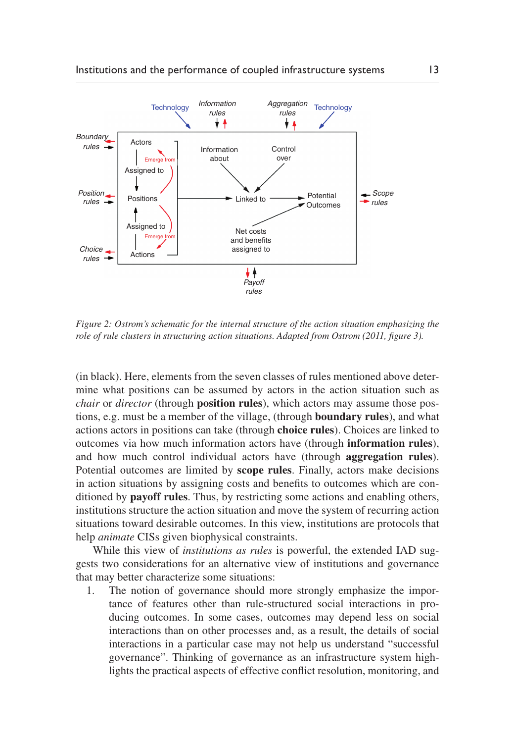

<span id="page-12-0"></span>*Figure 2: Ostrom's schematic for the internal structure of the action situation emphasizing the role of rule clusters in structuring action situations. Adapted from [Ostrom \(2011,](#page-20-9) figure 3).*

(in black). Here, elements from the seven classes of rules mentioned above determine what positions can be assumed by actors in the action situation such as *chair* or *director* (through **position rules**), which actors may assume those postions, e.g. must be a member of the village, (through **boundary rules**), and what actions actors in positions can take (through **choice rules**). Choices are linked to outcomes via how much information actors have (through **information rules**), and how much control individual actors have (through **aggregation rules**). Potential outcomes are limited by **scope rules**. Finally, actors make decisions in action situations by assigning costs and benefits to outcomes which are conditioned by **payoff rules**. Thus, by restricting some actions and enabling others, institutions structure the action situation and move the system of recurring action situations toward desirable outcomes. In this view, institutions are protocols that help *animate* CISs given biophysical constraints.

While this view of *institutions as rules* is powerful, the extended IAD suggests two considerations for an alternative view of institutions and governance that may better characterize some situations:

1. The notion of governance should more strongly emphasize the importance of features other than rule-structured social interactions in producing outcomes. In some cases, outcomes may depend less on social interactions than on other processes and, as a result, the details of social interactions in a particular case may not help us understand "successful governance". Thinking of governance as an infrastructure system highlights the practical aspects of effective conflict resolution, monitoring, and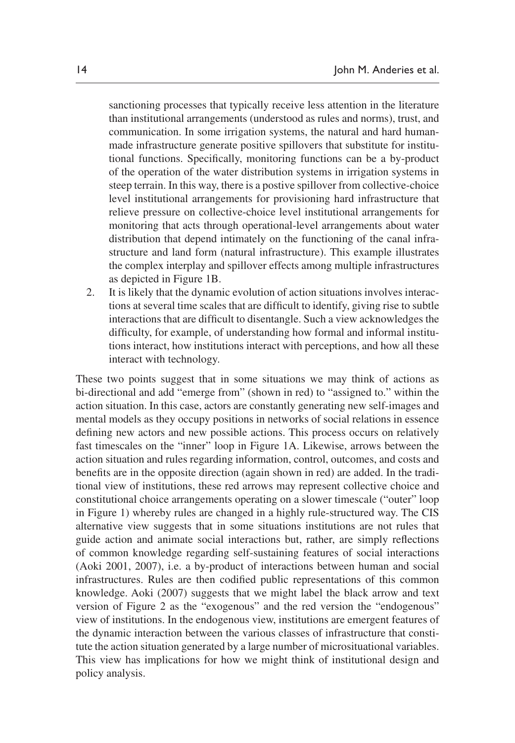sanctioning processes that typically receive less attention in the literature than institutional arrangements (understood as rules and norms), trust, and communication. In some irrigation systems, the natural and hard humanmade infrastructure generate positive spillovers that substitute for institutional functions. Specifically, monitoring functions can be a by-product of the operation of the water distribution systems in irrigation systems in steep terrain. In this way, there is a postive spillover from collective-choice level institutional arrangements for provisioning hard infrastructure that relieve pressure on collective-choice level institutional arrangements for monitoring that acts through operational-level arrangements about water distribution that depend intimately on the functioning of the canal infrastructure and land form (natural infrastructure). This example illustrates the complex interplay and spillover effects among multiple infrastructures as depicted in [Figure 1B.](#page-10-0)

2. It is likely that the dynamic evolution of action situations involves interactions at several time scales that are difficult to identify, giving rise to subtle interactions that are difficult to disentangle. Such a view acknowledges the difficulty, for example, of understanding how formal and informal institutions interact, how institutions interact with perceptions, and how all these interact with technology.

These two points suggest that in some situations we may think of actions as bi-directional and add "emerge from" (shown in red) to "assigned to." within the action situation. In this case, actors are constantly generating new self-images and mental models as they occupy positions in networks of social relations in essence defining new actors and new possible actions. This process occurs on relatively fast timescales on the "inner" loop in [Figure 1A.](#page-10-0) Likewise, arrows between the action situation and rules regarding information, control, outcomes, and costs and benefits are in the opposite direction (again shown in red) are added. In the traditional view of institutions, these red arrows may represent collective choice and constitutional choice arrangements operating on a slower timescale ("outer" loop in [Figure 1\)](#page-10-0) whereby rules are changed in a highly rule-structured way. The CIS alternative view suggests that in some situations institutions are not rules that guide action and animate social interactions but, rather, are simply reflections of common knowledge regarding self-sustaining features of social interactions [\(Aoki 2001](#page-19-5), [2007](#page-19-6)), i.e. a by-product of interactions between human and social infrastructures. Rules are then codified public representations of this common knowledge. [Aoki \(2007\)](#page-19-6) suggests that we might label the black arrow and text version of [Figure 2](#page-12-0) as the "exogenous" and the red version the "endogenous" view of institutions. In the endogenous view, institutions are emergent features of the dynamic interaction between the various classes of infrastructure that constitute the action situation generated by a large number of microsituational variables. This view has implications for how we might think of institutional design and policy analysis.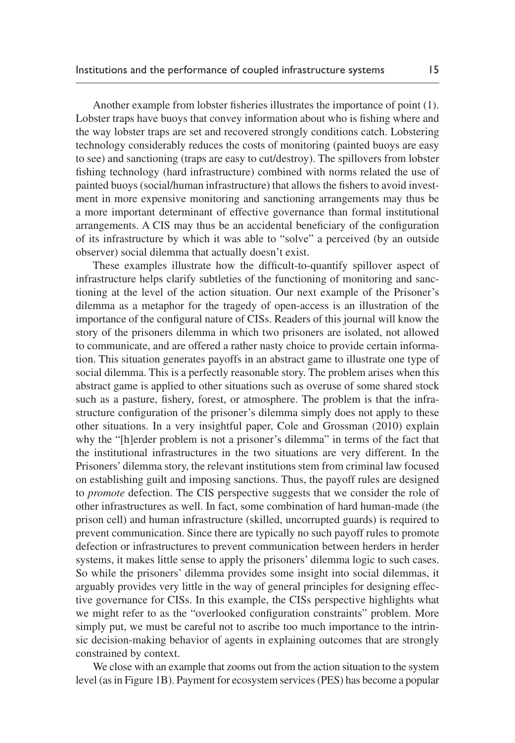Another example from lobster fisheries illustrates the importance of point (1). Lobster traps have buoys that convey information about who is fishing where and the way lobster traps are set and recovered strongly conditions catch. Lobstering technology considerably reduces the costs of monitoring (painted buoys are easy to see) and sanctioning (traps are easy to cut/destroy). The spillovers from lobster fishing technology (hard infrastructure) combined with norms related the use of painted buoys (social/human infrastructure) that allows the fishers to avoid investment in more expensive monitoring and sanctioning arrangements may thus be a more important determinant of effective governance than formal institutional arrangements. A CIS may thus be an accidental beneficiary of the configuration of its infrastructure by which it was able to "solve" a perceived (by an outside observer) social dilemma that actually doesn't exist.

These examples illustrate how the difficult-to-quantify spillover aspect of infrastructure helps clarify subtleties of the functioning of monitoring and sanctioning at the level of the action situation. Our next example of the Prisoner's dilemma as a metaphor for the tragedy of open-access is an illustration of the importance of the configural nature of CISs. Readers of this journal will know the story of the prisoners dilemma in which two prisoners are isolated, not allowed to communicate, and are offered a rather nasty choice to provide certain information. This situation generates payoffs in an abstract game to illustrate one type of social dilemma. This is a perfectly reasonable story. The problem arises when this abstract game is applied to other situations such as overuse of some shared stock such as a pasture, fishery, forest, or atmosphere. The problem is that the infrastructure configuration of the prisoner's dilemma simply does not apply to these other situations. In a very insightful paper, [Cole and Grossman \(2010\)](#page-19-7) explain why the "[h]erder problem is not a prisoner's dilemma" in terms of the fact that the institutional infrastructures in the two situations are very different. In the Prisoners' dilemma story, the relevant institutions stem from criminal law focused on establishing guilt and imposing sanctions. Thus, the payoff rules are designed to *promote* defection. The CIS perspective suggests that we consider the role of other infrastructures as well. In fact, some combination of hard human-made (the prison cell) and human infrastructure (skilled, uncorrupted guards) is required to prevent communication. Since there are typically no such payoff rules to promote defection or infrastructures to prevent communication between herders in herder systems, it makes little sense to apply the prisoners' dilemma logic to such cases. So while the prisoners' dilemma provides some insight into social dilemmas, it arguably provides very little in the way of general principles for designing effective governance for CISs. In this example, the CISs perspective highlights what we might refer to as the "overlooked configuration constraints" problem. More simply put, we must be careful not to ascribe too much importance to the intrinsic decision-making behavior of agents in explaining outcomes that are strongly constrained by context.

We close with an example that zooms out from the action situation to the system level (as in [Figure 1B](#page-10-0)). Payment for ecosystem services (PES) has become a popular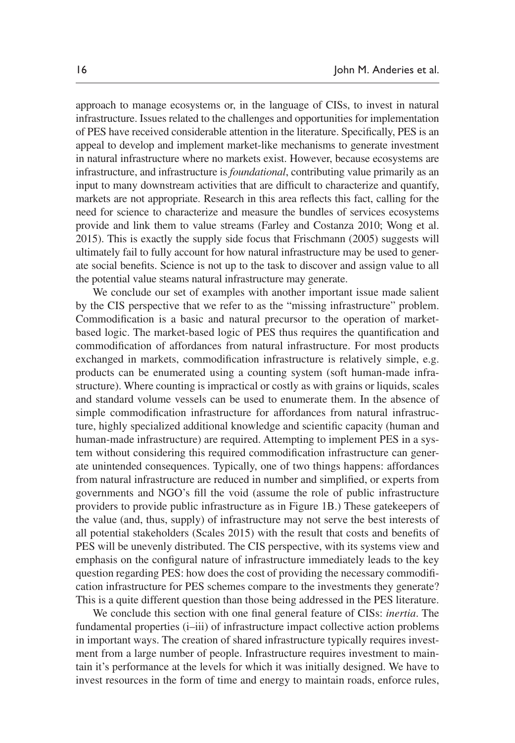approach to manage ecosystems or, in the language of CISs, to invest in natural infrastructure. Issues related to the challenges and opportunities for implementation of PES have received considerable attention in the literature. Specifically, PES is an appeal to develop and implement market-like mechanisms to generate investment in natural infrastructure where no markets exist. However, because ecosystems are infrastructure, and infrastructure is *foundational*, contributing value primarily as an input to many downstream activities that are difficult to characterize and quantify, markets are not appropriate. Research in this area reflects this fact, calling for the need for science to characterize and measure the bundles of services ecosystems provide and link them to value streams ([Farley and Costanza 2010](#page-19-8); [Wong et](#page-21-6) al. [2015](#page-21-6)). This is exactly the supply side focus that [Frischmann \(2005\)](#page-20-10) suggests will ultimately fail to fully account for how natural infrastructure may be used to generate social benefits. Science is not up to the task to discover and assign value to all the potential value steams natural infrastructure may generate.

We conclude our set of examples with another important issue made salient by the CIS perspective that we refer to as the "missing infrastructure" problem. Commodification is a basic and natural precursor to the operation of marketbased logic. The market-based logic of PES thus requires the quantification and commodification of affordances from natural infrastructure. For most products exchanged in markets, commodification infrastructure is relatively simple, e.g. products can be enumerated using a counting system (soft human-made infrastructure). Where counting is impractical or costly as with grains or liquids, scales and standard volume vessels can be used to enumerate them. In the absence of simple commodification infrastructure for affordances from natural infrastructure, highly specialized additional knowledge and scientific capacity (human and human-made infrastructure) are required. Attempting to implement PES in a system without considering this required commodification infrastructure can generate unintended consequences. Typically, one of two things happens: affordances from natural infrastructure are reduced in number and simplified, or experts from governments and NGO's fill the void (assume the role of public infrastructure providers to provide public infrastructure as in [Figure 1B](#page-10-0).) These gatekeepers of the value (and, thus, supply) of infrastructure may not serve the best interests of all potential stakeholders [\(Scales 2015](#page-21-7)) with the result that costs and benefits of PES will be unevenly distributed. The CIS perspective, with its systems view and emphasis on the configural nature of infrastructure immediately leads to the key question regarding PES: how does the cost of providing the necessary commodification infrastructure for PES schemes compare to the investments they generate? This is a quite different question than those being addressed in the PES literature.

We conclude this section with one final general feature of CISs: *inertia*. The fundamental properties (i–iii) of infrastructure impact collective action problems in important ways. The creation of shared infrastructure typically requires investment from a large number of people. Infrastructure requires investment to maintain it's performance at the levels for which it was initially designed. We have to invest resources in the form of time and energy to maintain roads, enforce rules,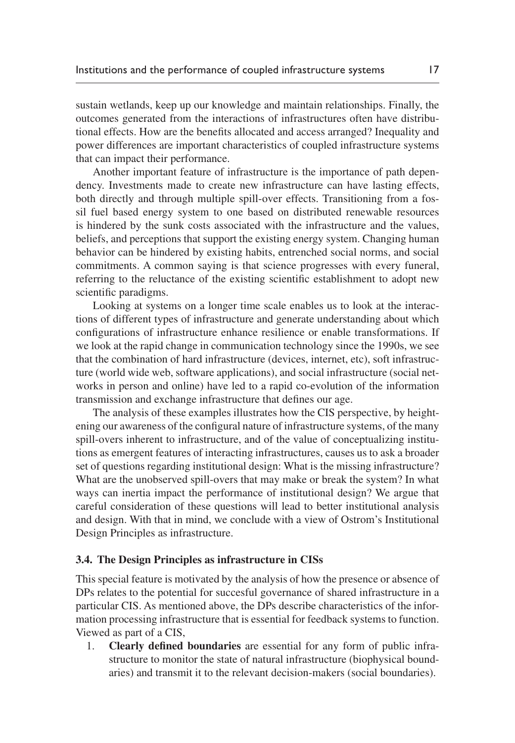sustain wetlands, keep up our knowledge and maintain relationships. Finally, the outcomes generated from the interactions of infrastructures often have distributional effects. How are the benefits allocated and access arranged? Inequality and power differences are important characteristics of coupled infrastructure systems that can impact their performance.

Another important feature of infrastructure is the importance of path dependency. Investments made to create new infrastructure can have lasting effects, both directly and through multiple spill-over effects. Transitioning from a fossil fuel based energy system to one based on distributed renewable resources is hindered by the sunk costs associated with the infrastructure and the values, beliefs, and perceptions that support the existing energy system. Changing human behavior can be hindered by existing habits, entrenched social norms, and social commitments. A common saying is that science progresses with every funeral, referring to the reluctance of the existing scientific establishment to adopt new scientific paradigms.

Looking at systems on a longer time scale enables us to look at the interactions of different types of infrastructure and generate understanding about which configurations of infrastructure enhance resilience or enable transformations. If we look at the rapid change in communication technology since the 1990s, we see that the combination of hard infrastructure (devices, internet, etc), soft infrastructure (world wide web, software applications), and social infrastructure (social networks in person and online) have led to a rapid co-evolution of the information transmission and exchange infrastructure that defines our age.

The analysis of these examples illustrates how the CIS perspective, by heightening our awareness of the configural nature of infrastructure systems, of the many spill-overs inherent to infrastructure, and of the value of conceptualizing institutions as emergent features of interacting infrastructures, causes us to ask a broader set of questions regarding institutional design: What is the missing infrastructure? What are the unobserved spill-overs that may make or break the system? In what ways can inertia impact the performance of institutional design? We argue that careful consideration of these questions will lead to better institutional analysis and design. With that in mind, we conclude with a view of Ostrom's Institutional Design Principles as infrastructure.

#### **3.4. The Design Principles as infrastructure in CISs**

This special feature is motivated by the analysis of how the presence or absence of DPs relates to the potential for succesful governance of shared infrastructure in a particular CIS. As mentioned above, the DPs describe characteristics of the information processing infrastructure that is essential for feedback systems to function. Viewed as part of a CIS,

1. **Clearly defined boundaries** are essential for any form of public infrastructure to monitor the state of natural infrastructure (biophysical boundaries) and transmit it to the relevant decision-makers (social boundaries).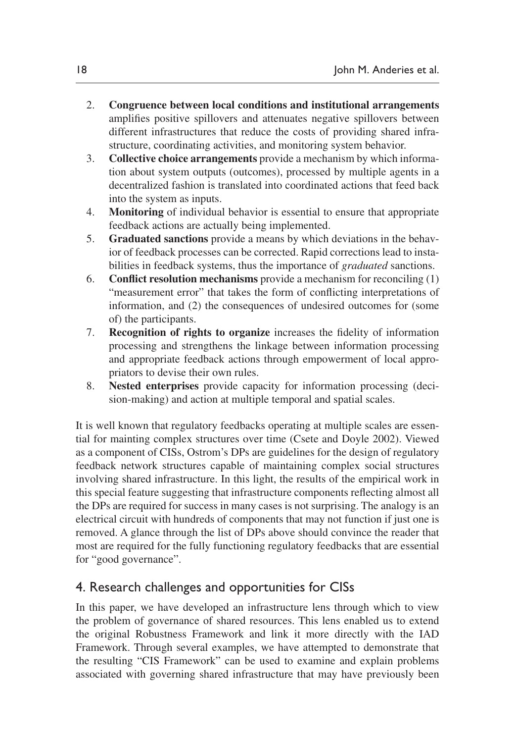- 2. **Congruence between local conditions and institutional arrangements** amplifies positive spillovers and attenuates negative spillovers between different infrastructures that reduce the costs of providing shared infrastructure, coordinating activities, and monitoring system behavior.
- 3. **Collective choice arrangements** provide a mechanism by which information about system outputs (outcomes), processed by multiple agents in a decentralized fashion is translated into coordinated actions that feed back into the system as inputs.
- 4. **Monitoring** of individual behavior is essential to ensure that appropriate feedback actions are actually being implemented.
- 5. **Graduated sanctions** provide a means by which deviations in the behavior of feedback processes can be corrected. Rapid corrections lead to instabilities in feedback systems, thus the importance of *graduated* sanctions.
- 6. **Conflict resolution mechanisms** provide a mechanism for reconciling (1) "measurement error" that takes the form of conflicting interpretations of information, and (2) the consequences of undesired outcomes for (some of) the participants.
- 7. **Recognition of rights to organize** increases the fidelity of information processing and strengthens the linkage between information processing and appropriate feedback actions through empowerment of local appropriators to devise their own rules.
- 8. **Nested enterprises** provide capacity for information processing (decision-making) and action at multiple temporal and spatial scales.

It is well known that regulatory feedbacks operating at multiple scales are essential for mainting complex structures over time ([Csete and Doyle 2002\)](#page-19-9). Viewed as a component of CISs, Ostrom's DPs are guidelines for the design of regulatory feedback network structures capable of maintaining complex social structures involving shared infrastructure. In this light, the results of the empirical work in this special feature suggesting that infrastructure components reflecting almost all the DPs are required for success in many cases is not surprising. The analogy is an electrical circuit with hundreds of components that may not function if just one is removed. A glance through the list of DPs above should convince the reader that most are required for the fully functioning regulatory feedbacks that are essential for "good governance".

## 4. Research challenges and opportunities for CISs

In this paper, we have developed an infrastructure lens through which to view the problem of governance of shared resources. This lens enabled us to extend the original Robustness Framework and link it more directly with the IAD Framework. Through several examples, we have attempted to demonstrate that the resulting "CIS Framework" can be used to examine and explain problems associated with governing shared infrastructure that may have previously been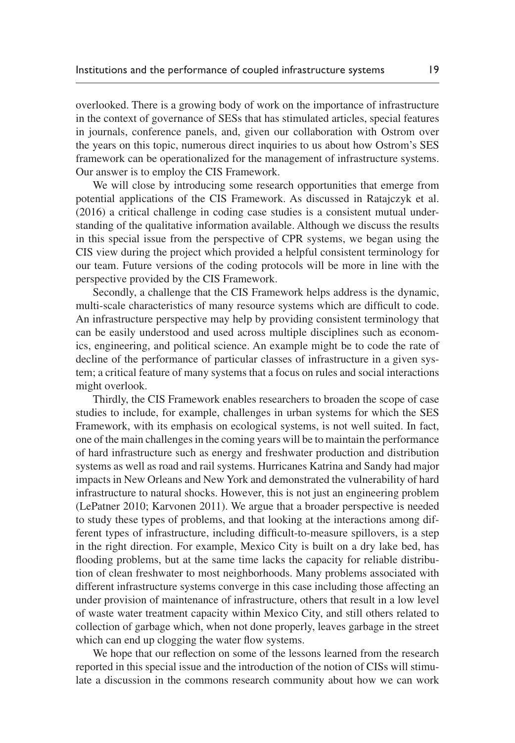overlooked. There is a growing body of work on the importance of infrastructure in the context of governance of SESs that has stimulated articles, special features in journals, conference panels, and, given our collaboration with Ostrom over the years on this topic, numerous direct inquiries to us about how Ostrom's SES framework can be operationalized for the management of infrastructure systems. Our answer is to employ the CIS Framework.

We will close by introducing some research opportunities that emerge from potential applications of the CIS Framework. As discussed in Ratajczyk et al. (2016) a critical challenge in coding case studies is a consistent mutual understanding of the qualitative information available. Although we discuss the results in this special issue from the perspective of CPR systems, we began using the CIS view during the project which provided a helpful consistent terminology for our team. Future versions of the coding protocols will be more in line with the perspective provided by the CIS Framework.

Secondly, a challenge that the CIS Framework helps address is the dynamic, multi-scale characteristics of many resource systems which are difficult to code. An infrastructure perspective may help by providing consistent terminology that can be easily understood and used across multiple disciplines such as economics, engineering, and political science. An example might be to code the rate of decline of the performance of particular classes of infrastructure in a given system; a critical feature of many systems that a focus on rules and social interactions might overlook.

Thirdly, the CIS Framework enables researchers to broaden the scope of case studies to include, for example, challenges in urban systems for which the SES Framework, with its emphasis on ecological systems, is not well suited. In fact, one of the main challenges in the coming years will be to maintain the performance of hard infrastructure such as energy and freshwater production and distribution systems as well as road and rail systems. Hurricanes Katrina and Sandy had major impacts in New Orleans and New York and demonstrated the vulnerability of hard infrastructure to natural shocks. However, this is not just an engineering problem [\(LePatner 2010](#page-20-13); [Karvonen 2011](#page-20-14)). We argue that a broader perspective is needed to study these types of problems, and that looking at the interactions among different types of infrastructure, including difficult-to-measure spillovers, is a step in the right direction. For example, Mexico City is built on a dry lake bed, has flooding problems, but at the same time lacks the capacity for reliable distribution of clean freshwater to most neighborhoods. Many problems associated with different infrastructure systems converge in this case including those affecting an under provision of maintenance of infrastructure, others that result in a low level of waste water treatment capacity within Mexico City, and still others related to collection of garbage which, when not done properly, leaves garbage in the street which can end up clogging the water flow systems.

We hope that our reflection on some of the lessons learned from the research reported in this special issue and the introduction of the notion of CISs will stimulate a discussion in the commons research community about how we can work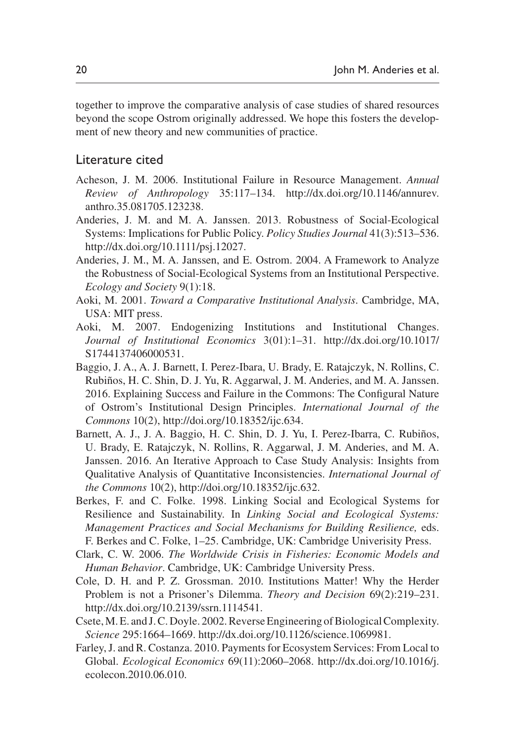together to improve the comparative analysis of case studies of shared resources beyond the scope Ostrom originally addressed. We hope this fosters the development of new theory and new communities of practice.

### Literature cited

- <span id="page-19-0"></span>Acheson, J. M. 2006. Institutional Failure in Resource Management. *Annual Review of Anthropology* 35:117–134. [http://dx.doi.org/10.1146/annurev.](http://dx.doi.org/10.1146/annurev.anthro.35.081705.123238) [anthro.35.081705.123238](http://dx.doi.org/10.1146/annurev.anthro.35.081705.123238).
- <span id="page-19-3"></span>Anderies, J. M. and M. A. Janssen. 2013. Robustness of Social-Ecological Systems: Implications for Public Policy. *Policy Studies Journal* 41(3):513–536. [http://dx.doi.org/10.1111/psj.12027.](http://dx.doi.org/10.1111/psj.12027)
- <span id="page-19-4"></span>Anderies, J. M., M. A. Janssen, and E. Ostrom. 2004. A Framework to Analyze the Robustness of Social-Ecological Systems from an Institutional Perspective. *Ecology and Society* 9(1):18.
- <span id="page-19-5"></span>Aoki, M. 2001. *Toward a Comparative Institutional Analysis*. Cambridge, MA, USA: MIT press.
- <span id="page-19-6"></span>Aoki, M. 2007. Endogenizing Institutions and Institutional Changes. *Journal of Institutional Economics* 3(01):1–31. [http://dx.doi.org/10.1017/](http://dx.doi.org/10.1017/S1744137406000531) [S1744137406000531.](http://dx.doi.org/10.1017/S1744137406000531)
- Baggio, J. A., A. J. Barnett, I. Perez-Ibara, U. Brady, E. Ratajczyk, N. Rollins, C. Rubiños, H. C. Shin, D. J. Yu, R. Aggarwal, J. M. Anderies, and M. A. Janssen. 2016. Explaining Success and Failure in the Commons: The Configural Nature of Ostrom's Institutional Design Principles. *International Journal of the Commons* 10(2), [http://doi.org/10.18352/ijc.634.](http://doi.org/10.18352/ijc.634)
- Barnett, A. J., J. A. Baggio, H. C. Shin, D. J. Yu, I. Perez-Ibarra, C. Rubiños, U. Brady, E. Ratajczyk, N. Rollins, R. Aggarwal, J. M. Anderies, and M. A. Janssen. 2016. An Iterative Approach to Case Study Analysis: Insights from Qualitative Analysis of Quantitative Inconsistencies. *International Journal of the Commons* 10(2), [http://doi.org/10.18352/ijc.632.](http://doi.org/10.18352/ijc.632)
- <span id="page-19-2"></span>Berkes, F. and C. Folke. 1998. Linking Social and Ecological Systems for Resilience and Sustainability. In *Linking Social and Ecological Systems: Management Practices and Social Mechanisms for Building Resilience,* eds. F. Berkes and C. Folke, 1–25. Cambridge, UK: Cambridge Univerisity Press.
- <span id="page-19-1"></span>Clark, C. W. 2006. *The Worldwide Crisis in Fisheries: Economic Models and Human Behavior*. Cambridge, UK: Cambridge University Press.
- <span id="page-19-7"></span>Cole, D. H. and P. Z. Grossman. 2010. Institutions Matter! Why the Herder Problem is not a Prisoner's Dilemma. *Theory and Decision* 69(2):219–231. <http://dx.doi.org/10.2139/ssrn.1114541>.
- <span id="page-19-9"></span>Csete, M. E. and J. C. Doyle. 2002. Reverse Engineering of Biological Complexity. *Science* 295:1664–1669. [http://dx.doi.org/10.1126/science.1069981.](http://dx.doi.org/10.1126/science.1069981)
- <span id="page-19-8"></span>Farley, J. and R. Costanza. 2010. Payments for Ecosystem Services: From Local to Global. *Ecological Economics* 69(11):2060–2068. [http://dx.doi.org/10.1016/j.](http://dx.doi.org/10.1016/j.ecolecon.2010.06.010) [ecolecon.2010.06.010](http://dx.doi.org/10.1016/j.ecolecon.2010.06.010).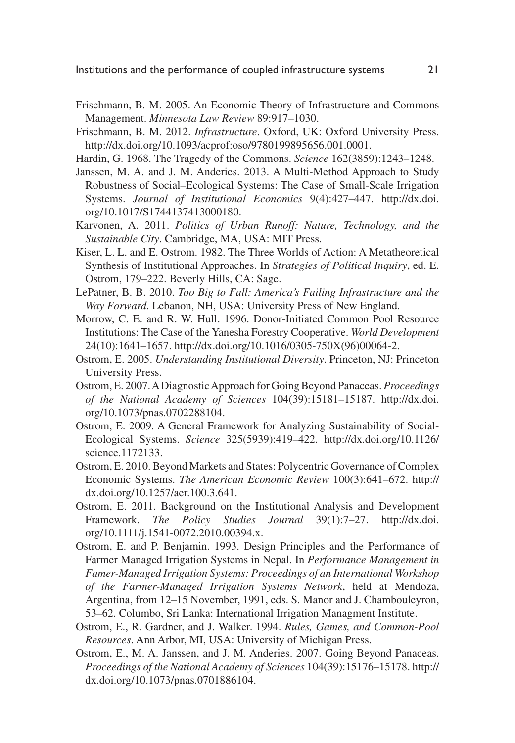- <span id="page-20-10"></span>Frischmann, B. M. 2005. An Economic Theory of Infrastructure and Commons Management. *Minnesota Law Review* 89:917–1030.
- <span id="page-20-11"></span>Frischmann, B. M. 2012. *Infrastructure*. Oxford, UK: Oxford University Press. <http://dx.doi.org/10.1093/acprof:oso/9780199895656.001.0001>.
- <span id="page-20-1"></span>Hardin, G. 1968. The Tragedy of the Commons. *Science* 162(3859):1243–1248.
- <span id="page-20-8"></span>Janssen, M. A. and J. M. Anderies. 2013. A Multi-Method Approach to Study Robustness of Social–Ecological Systems: The Case of Small-Scale Irrigation Systems. *Journal of Institutional Economics* 9(4):427–447. [http://dx.doi.](http://dx.doi.org/10.1017/S1744137413000180) [org/10.1017/S1744137413000180](http://dx.doi.org/10.1017/S1744137413000180).
- <span id="page-20-14"></span>Karvonen, A. 2011. *Politics of Urban Runoff: Nature, Technology, and the Sustainable City*. Cambridge, MA, USA: MIT Press.
- <span id="page-20-4"></span>Kiser, L. L. and E. Ostrom. 1982. The Three Worlds of Action: A Metatheoretical Synthesis of Institutional Approaches. In *Strategies of Political Inquiry*, ed. E. Ostrom, 179–222. Beverly Hills, CA: Sage.
- <span id="page-20-13"></span>LePatner, B. B. 2010. *Too Big to Fall: America's Failing Infrastructure and the Way Forward*. Lebanon, NH, USA: University Press of New England.
- <span id="page-20-7"></span>Morrow, C. E. and R. W. Hull. 1996. Donor-Initiated Common Pool Resource Institutions: The Case of the Yanesha Forestry Cooperative. *World Development* 24(10):1641–1657. [http://dx.doi.org/10.1016/0305-750X\(96\)00064-2.](http://dx.doi.org/10.1016/0305-750X(96)00064-2)
- <span id="page-20-12"></span>Ostrom, E. 2005. *Understanding Institutional Diversity*. Princeton, NJ: Princeton University Press.
- <span id="page-20-2"></span>Ostrom, E. 2007. A Diagnostic Approach for Going Beyond Panaceas. *Proceedings of the National Academy of Sciences* 104(39):15181–15187. [http://dx.doi.](http://dx.doi.org/10.1073/pnas.0702288104) [org/10.1073/pnas.0702288104](http://dx.doi.org/10.1073/pnas.0702288104).
- <span id="page-20-5"></span>Ostrom, E. 2009. A General Framework for Analyzing Sustainability of Social-Ecological Systems. *Science* 325(5939):419–422. [http://dx.doi.org/10.1126/](http://dx.doi.org/10.1126/science.1172133) [science.1172133.](http://dx.doi.org/10.1126/science.1172133)
- <span id="page-20-3"></span>Ostrom, E. 2010. Beyond Markets and States: Polycentric Governance of Complex Economic Systems. *The American Economic Review* 100(3):641–672. [http://](http://dx.doi.org/10.1257/aer.100.3.641) [dx.doi.org/10.1257/aer.100.3.641.](http://dx.doi.org/10.1257/aer.100.3.641)
- <span id="page-20-9"></span>Ostrom, E. 2011. Background on the Institutional Analysis and Development Framework. *The Policy Studies Journal* 39(1):7–27. [http://dx.doi.](http://dx.doi.org/10.1111/j.1541-0072.2010.00394.x) [org/10.1111/j.1541-0072.2010.00394.x.](http://dx.doi.org/10.1111/j.1541-0072.2010.00394.x)
- <span id="page-20-6"></span>Ostrom, E. and P. Benjamin. 1993. Design Principles and the Performance of Farmer Managed Irrigation Systems in Nepal. In *Performance Management in Famer-Managed Irrigation Systems: Proceedings of an International Workshop of the Farmer-Managed Irrigation Systems Network*, held at Mendoza, Argentina, from 12–15 November, 1991, eds. S. Manor and J. Chambouleyron, 53–62. Columbo, Sri Lanka: International Irrigation Managment Institute.
- <span id="page-20-0"></span>Ostrom, E., R. Gardner, and J. Walker. 1994. *Rules, Games, and Common-Pool Resources*. Ann Arbor, MI, USA: University of Michigan Press.
- Ostrom, E., M. A. Janssen, and J. M. Anderies. 2007. Going Beyond Panaceas. *Proceedings of the National Academy of Sciences* 104(39):15176–15178. [http://](http://dx.doi.org/10.1073/pnas.0701886104) [dx.doi.org/10.1073/pnas.0701886104](http://dx.doi.org/10.1073/pnas.0701886104).